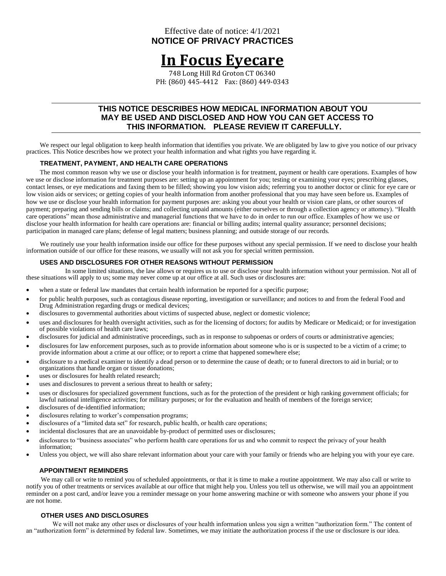# Effective date of notice: 4/1/2021 **NOTICE OF PRIVACY PRACTICES**

# **In Focus Eyecare**

748 Long Hill Rd Groton CT 06340 PH: (860) 445-4412 Fax: (860) 449-0343

# **THIS NOTICE DESCRIBES HOW MEDICAL INFORMATION ABOUT YOU MAY BE USED AND DISCLOSED AND HOW YOU CAN GET ACCESS TO THIS INFORMATION. PLEASE REVIEW IT CAREFULLY.**

We respect our legal obligation to keep health information that identifies you private. We are obligated by law to give you notice of our privacy practices. This Notice describes how we protect your health information and what rights you have regarding it.

## **TREATMENT, PAYMENT, AND HEALTH CARE OPERATIONS**

The most common reason why we use or disclose your health information is for treatment, payment or health care operations. Examples of how we use or disclose information for treatment purposes are: setting up an appointment for you; testing or examining your eyes; prescribing glasses, contact lenses, or eye medications and faxing them to be filled; showing you low vision aids; referring you to another doctor or clinic for eye care or low vision aids or services; or getting copies of your health information from another professional that you may have seen before us. Examples of how we use or disclose your health information for payment purposes are: asking you about your health or vision care plans, or other sources of payment; preparing and sending bills or claims; and collecting unpaid amounts (either ourselves or through a collection agency or attorney). "Health care operations" mean those administrative and managerial functions that we have to do in order to run our office. Examples of how we use or disclose your health information for health care operations are: financial or billing audits; internal quality assurance; personnel decisions; participation in managed care plans; defense of legal matters; business planning; and outside storage of our records.

We routinely use your health information inside our office for these purposes without any special permission. If we need to disclose your health information outside of our office for these reasons, we usually will not ask you for special written permission.

#### **USES AND DISCLOSURES FOR OTHER REASONS WITHOUT PERMISSION**

In some limited situations, the law allows or requires us to use or disclose your health information without your permission. Not all of these situations will apply to us; some may never come up at our office at all. Such uses or disclosures are:

- when a state or federal law mandates that certain health information be reported for a specific purpose;
- for public health purposes, such as contagious disease reporting, investigation or surveillance; and notices to and from the federal Food and Drug Administration regarding drugs or medical devices;
- disclosures to governmental authorities about victims of suspected abuse, neglect or domestic violence;
- uses and disclosures for health oversight activities, such as for the licensing of doctors; for audits by Medicare or Medicaid; or for investigation of possible violations of health care laws;
- disclosures for judicial and administrative proceedings, such as in response to subpoenas or orders of courts or administrative agencies;
- disclosures for law enforcement purposes, such as to provide information about someone who is or is suspected to be a victim of a crime; to provide information about a crime at our office; or to report a crime that happened somewhere else;
- disclosure to a medical examiner to identify a dead person or to determine the cause of death; or to funeral directors to aid in burial; or to organizations that handle organ or tissue donations;
- uses or disclosures for health related research;
- uses and disclosures to prevent a serious threat to health or safety;
- uses or disclosures for specialized government functions, such as for the protection of the president or high ranking government officials; for lawful national intelligence activities; for military purposes; or for the evaluation and health of members of the foreign service;
- disclosures of de-identified information;
- disclosures relating to worker's compensation programs;
- disclosures of a "limited data set" for research, public health, or health care operations;
- incidental disclosures that are an unavoidable by-product of permitted uses or disclosures;
- disclosures to "business associates" who perform health care operations for us and who commit to respect the privacy of your health information;
- Unless you object, we will also share relevant information about your care with your family or friends who are helping you with your eye care.

#### **APPOINTMENT REMINDERS**

We may call or write to remind you of scheduled appointments, or that it is time to make a routine appointment. We may also call or write to notify you of other treatments or services available at our office that might help you. Unless you tell us otherwise, we will mail you an appointment reminder on a post card, and/or leave you a reminder message on your home answering machine or with someone who answers your phone if you are not home.

#### **OTHER USES AND DISCLOSURES**

We will not make any other uses or disclosures of your health information unless you sign a written "authorization form." The content of an "authorization form" is determined by federal law. Sometimes, we may initiate the authorization process if the use or disclosure is our idea.